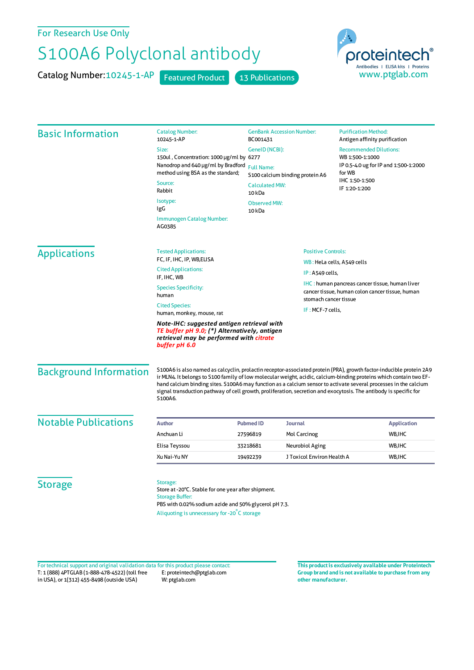## For Research Use Only

## S100A6 Polyclonal antibody

Catalog Number: 10245-1-AP Featured Product 13 Publications



| <b>Basic Information</b>      | <b>Catalog Number:</b><br>10245-1-AP                                                                                                                                                                                                                                                                                                                                                                                                                                                          | <b>GenBank Accession Number:</b><br>BC001431         |                                           | <b>Purification Method:</b><br>Antigen affinity purification                                                          |  |
|-------------------------------|-----------------------------------------------------------------------------------------------------------------------------------------------------------------------------------------------------------------------------------------------------------------------------------------------------------------------------------------------------------------------------------------------------------------------------------------------------------------------------------------------|------------------------------------------------------|-------------------------------------------|-----------------------------------------------------------------------------------------------------------------------|--|
|                               | Size:<br>GeneID (NCBI):                                                                                                                                                                                                                                                                                                                                                                                                                                                                       |                                                      |                                           | <b>Recommended Dilutions:</b><br>WB 1:500-1:1000<br>IP 0.5-4.0 ug for IP and 1:500-1:2000<br>for WB<br>IHC 1:50-1:500 |  |
|                               | 150ul, Concentration: 1000 µg/ml by 6277                                                                                                                                                                                                                                                                                                                                                                                                                                                      | <b>Full Name:</b><br>S100 calcium binding protein A6 |                                           |                                                                                                                       |  |
|                               | Nanodrop and 640 µg/ml by Bradford<br>method using BSA as the standard;                                                                                                                                                                                                                                                                                                                                                                                                                       |                                                      |                                           |                                                                                                                       |  |
|                               | Source:                                                                                                                                                                                                                                                                                                                                                                                                                                                                                       |                                                      |                                           |                                                                                                                       |  |
|                               | Rabbit                                                                                                                                                                                                                                                                                                                                                                                                                                                                                        | <b>Calculated MW:</b><br>10 <sub>kDa</sub>           |                                           | IF 1:20-1:200                                                                                                         |  |
|                               | Isotype:<br>IgG                                                                                                                                                                                                                                                                                                                                                                                                                                                                               | <b>Observed MW:</b><br>10 <sub>kDa</sub>             |                                           |                                                                                                                       |  |
|                               | Immunogen Catalog Number:<br>AG0385                                                                                                                                                                                                                                                                                                                                                                                                                                                           |                                                      |                                           |                                                                                                                       |  |
| <b>Applications</b>           | <b>Tested Applications:</b>                                                                                                                                                                                                                                                                                                                                                                                                                                                                   |                                                      | <b>Positive Controls:</b>                 |                                                                                                                       |  |
|                               | FC, IF, IHC, IP, WB, ELISA                                                                                                                                                                                                                                                                                                                                                                                                                                                                    |                                                      | WB: HeLa cells, A549 cells                |                                                                                                                       |  |
|                               | <b>Cited Applications:</b><br>IF, IHC, WB                                                                                                                                                                                                                                                                                                                                                                                                                                                     |                                                      | IP: A549 cells,                           |                                                                                                                       |  |
|                               | <b>Species Specificity:</b><br>human                                                                                                                                                                                                                                                                                                                                                                                                                                                          |                                                      |                                           | <b>IHC</b> : human pancreas cancer tissue, human liver<br>cancer tissue, human colon cancer tissue, human             |  |
|                               | <b>Cited Species:</b><br>human, monkey, mouse, rat                                                                                                                                                                                                                                                                                                                                                                                                                                            |                                                      | stomach cancer tissue<br>IF: MCF-7 cells, |                                                                                                                       |  |
|                               | Note-IHC: suggested antigen retrieval with<br>TE buffer pH 9.0; (*) Alternatively, antigen<br>retrieval may be performed with citrate<br>buffer pH 6.0                                                                                                                                                                                                                                                                                                                                        |                                                      |                                           |                                                                                                                       |  |
| <b>Background Information</b> | S100A6 is also named as calcyclin, prolactin receptor-associated protein (PRA), growth factor-inducible protein 2A9<br>ir MLN4. It belongs to S100 family of low molecular weight, acidic, calcium-binding proteins which contain two EF-<br>hand calcium binding sites. S100A6 may function as a calcium sensor to activate several processes in the calcium<br>signal transduction pathway of cell growth, proliferation, secretion and exocytosis. The antibody is specific for<br>S100A6. |                                                      |                                           |                                                                                                                       |  |
| <b>Notable Publications</b>   | Author                                                                                                                                                                                                                                                                                                                                                                                                                                                                                        | <b>Pubmed ID</b>                                     | Journal                                   | <b>Application</b>                                                                                                    |  |
|                               | Anchuan Li                                                                                                                                                                                                                                                                                                                                                                                                                                                                                    | 27596819                                             | Mol Carcinog                              | WB, IHC                                                                                                               |  |
|                               | Elisa Teyssou                                                                                                                                                                                                                                                                                                                                                                                                                                                                                 | 33218681                                             | Neurobiol Aging                           | WB, IHC                                                                                                               |  |
|                               | Xu Nai-Yu NY                                                                                                                                                                                                                                                                                                                                                                                                                                                                                  | 19492239                                             | J Toxicol Environ Health A                | WB, IHC                                                                                                               |  |
| <b>Storage</b>                | Storage:<br>Store at -20°C. Stable for one year after shipment.<br><b>Storage Buffer:</b><br>PBS with 0.02% sodium azide and 50% glycerol pH 7.3.                                                                                                                                                                                                                                                                                                                                             |                                                      |                                           |                                                                                                                       |  |
|                               | Aliquoting is unnecessary for -20°C storage                                                                                                                                                                                                                                                                                                                                                                                                                                                   |                                                      |                                           |                                                                                                                       |  |

T: 1 (888) 4PTGLAB (1-888-478-4522) (toll free in USA), or 1(312) 455-8498 (outside USA) E: proteintech@ptglab.com W: ptglab.com Fortechnical support and original validation data forthis product please contact: **This productis exclusively available under Proteintech**

**Group brand and is not available to purchase from any other manufacturer.**